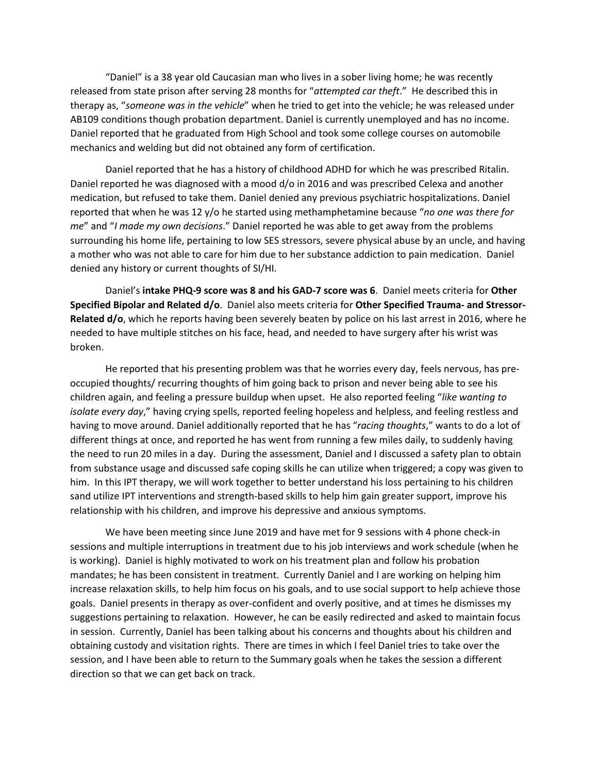"Daniel" is a 38 year old Caucasian man who lives in a sober living home; he was recently released from state prison after serving 28 months for "*attempted car theft*." He described this in therapy as, "*someone was in the vehicle*" when he tried to get into the vehicle; he was released under AB109 conditions though probation department. Daniel is currently unemployed and has no income. Daniel reported that he graduated from High School and took some college courses on automobile mechanics and welding but did not obtained any form of certification.

Daniel reported that he has a history of childhood ADHD for which he was prescribed Ritalin. Daniel reported he was diagnosed with a mood d/o in 2016 and was prescribed Celexa and another medication, but refused to take them. Daniel denied any previous psychiatric hospitalizations. Daniel reported that when he was 12 y/o he started using methamphetamine because "*no one was there for me*" and "*I made my own decisions*." Daniel reported he was able to get away from the problems surrounding his home life, pertaining to low SES stressors, severe physical abuse by an uncle, and having a mother who was not able to care for him due to her substance addiction to pain medication. Daniel denied any history or current thoughts of SI/HI.

Daniel's **intake PHQ-9 score was 8 and his GAD-7 score was 6**. Daniel meets criteria for **Other Specified Bipolar and Related d/o**. Daniel also meets criteria for **Other Specified Trauma- and Stressor-Related d/o**, which he reports having been severely beaten by police on his last arrest in 2016, where he needed to have multiple stitches on his face, head, and needed to have surgery after his wrist was broken.

He reported that his presenting problem was that he worries every day, feels nervous, has preoccupied thoughts/ recurring thoughts of him going back to prison and never being able to see his children again, and feeling a pressure buildup when upset. He also reported feeling "*like wanting to isolate every day*," having crying spells, reported feeling hopeless and helpless, and feeling restless and having to move around. Daniel additionally reported that he has "*racing thoughts*," wants to do a lot of different things at once, and reported he has went from running a few miles daily, to suddenly having the need to run 20 miles in a day. During the assessment, Daniel and I discussed a safety plan to obtain from substance usage and discussed safe coping skills he can utilize when triggered; a copy was given to him. In this IPT therapy, we will work together to better understand his loss pertaining to his children sand utilize IPT interventions and strength-based skills to help him gain greater support, improve his relationship with his children, and improve his depressive and anxious symptoms.

We have been meeting since June 2019 and have met for 9 sessions with 4 phone check-in sessions and multiple interruptions in treatment due to his job interviews and work schedule (when he is working). Daniel is highly motivated to work on his treatment plan and follow his probation mandates; he has been consistent in treatment. Currently Daniel and I are working on helping him increase relaxation skills, to help him focus on his goals, and to use social support to help achieve those goals. Daniel presents in therapy as over-confident and overly positive, and at times he dismisses my suggestions pertaining to relaxation. However, he can be easily redirected and asked to maintain focus in session. Currently, Daniel has been talking about his concerns and thoughts about his children and obtaining custody and visitation rights. There are times in which I feel Daniel tries to take over the session, and I have been able to return to the Summary goals when he takes the session a different direction so that we can get back on track.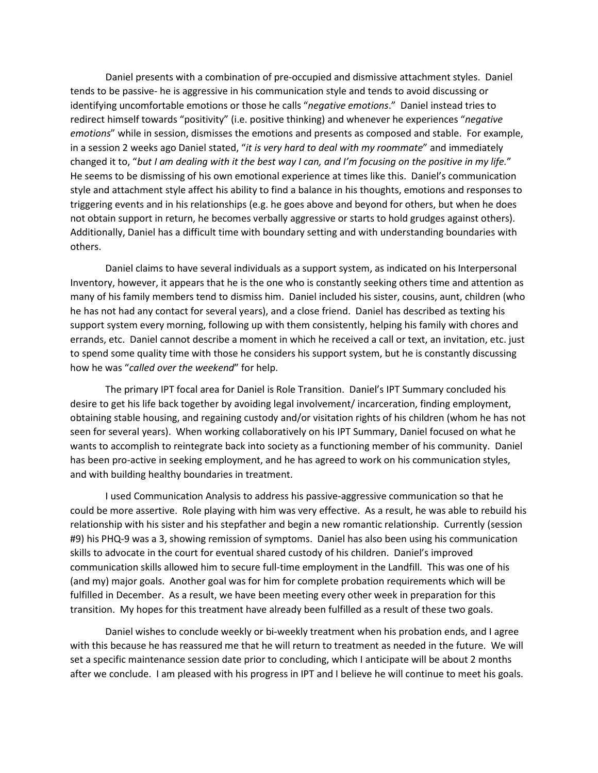Daniel presents with a combination of pre-occupied and dismissive attachment styles. Daniel tends to be passive- he is aggressive in his communication style and tends to avoid discussing or identifying uncomfortable emotions or those he calls "*negative emotions*." Daniel instead tries to redirect himself towards "positivity" (i.e. positive thinking) and whenever he experiences "*negative emotions*" while in session, dismisses the emotions and presents as composed and stable. For example, in a session 2 weeks ago Daniel stated, "*it is very hard to deal with my roommate*" and immediately changed it to, "*but I am dealing with it the best way I can, and I'm focusing on the positive in my life.*" He seems to be dismissing of his own emotional experience at times like this. Daniel's communication style and attachment style affect his ability to find a balance in his thoughts, emotions and responses to triggering events and in his relationships (e.g. he goes above and beyond for others, but when he does not obtain support in return, he becomes verbally aggressive or starts to hold grudges against others). Additionally, Daniel has a difficult time with boundary setting and with understanding boundaries with others.

Daniel claims to have several individuals as a support system, as indicated on his Interpersonal Inventory, however, it appears that he is the one who is constantly seeking others time and attention as many of his family members tend to dismiss him. Daniel included his sister, cousins, aunt, children (who he has not had any contact for several years), and a close friend. Daniel has described as texting his support system every morning, following up with them consistently, helping his family with chores and errands, etc. Daniel cannot describe a moment in which he received a call or text, an invitation, etc. just to spend some quality time with those he considers his support system, but he is constantly discussing how he was "*called over the weekend*" for help.

The primary IPT focal area for Daniel is Role Transition. Daniel's IPT Summary concluded his desire to get his life back together by avoiding legal involvement/ incarceration, finding employment, obtaining stable housing, and regaining custody and/or visitation rights of his children (whom he has not seen for several years). When working collaboratively on his IPT Summary, Daniel focused on what he wants to accomplish to reintegrate back into society as a functioning member of his community. Daniel has been pro-active in seeking employment, and he has agreed to work on his communication styles, and with building healthy boundaries in treatment.

 I used Communication Analysis to address his passive-aggressive communication so that he could be more assertive. Role playing with him was very effective. As a result, he was able to rebuild his relationship with his sister and his stepfather and begin a new romantic relationship. Currently (session #9) his PHQ-9 was a 3, showing remission of symptoms. Daniel has also been using his communication skills to advocate in the court for eventual shared custody of his children. Daniel's improved communication skills allowed him to secure full-time employment in the Landfill. This was one of his (and my) major goals. Another goal was for him for complete probation requirements which will be fulfilled in December. As a result, we have been meeting every other week in preparation for this transition. My hopes for this treatment have already been fulfilled as a result of these two goals.

Daniel wishes to conclude weekly or bi-weekly treatment when his probation ends, and I agree with this because he has reassured me that he will return to treatment as needed in the future. We will set a specific maintenance session date prior to concluding, which I anticipate will be about 2 months after we conclude. I am pleased with his progress in IPT and I believe he will continue to meet his goals.